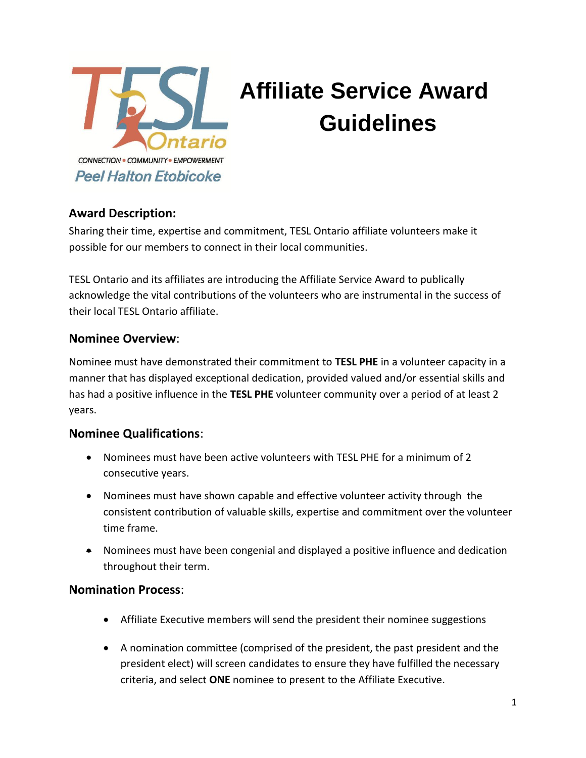

# **Affiliate Service Award Guidelines**

# **Award Description:**

Sharing their time, expertise and commitment, TESL Ontario affiliate volunteers make it possible for our members to connect in their local communities.

TESL Ontario and its affiliates are introducing the Affiliate Service Award to publically acknowledge the vital contributions of the volunteers who are instrumental in the success of their local TESL Ontario affiliate.

### **Nominee Overview**:

Nominee must have demonstrated their commitment to **TESL PHE** in a volunteer capacity in a manner that has displayed exceptional dedication, provided valued and/or essential skills and has had a positive influence in the **TESL PHE** volunteer community over a period of at least 2 years.

#### **Nominee Qualifications**:

- Nominees must have been active volunteers with TESL PHE for a minimum of 2 consecutive years.
- Nominees must have shown capable and effective volunteer activity through the consistent contribution of valuable skills, expertise and commitment over the volunteer time frame.
- Nominees must have been congenial and displayed a positive influence and dedication throughout their term.

#### **Nomination Process**:

- Affiliate Executive members will send the president their nominee suggestions
- A nomination committee (comprised of the president, the past president and the president elect) will screen candidates to ensure they have fulfilled the necessary criteria, and select **ONE** nominee to present to the Affiliate Executive.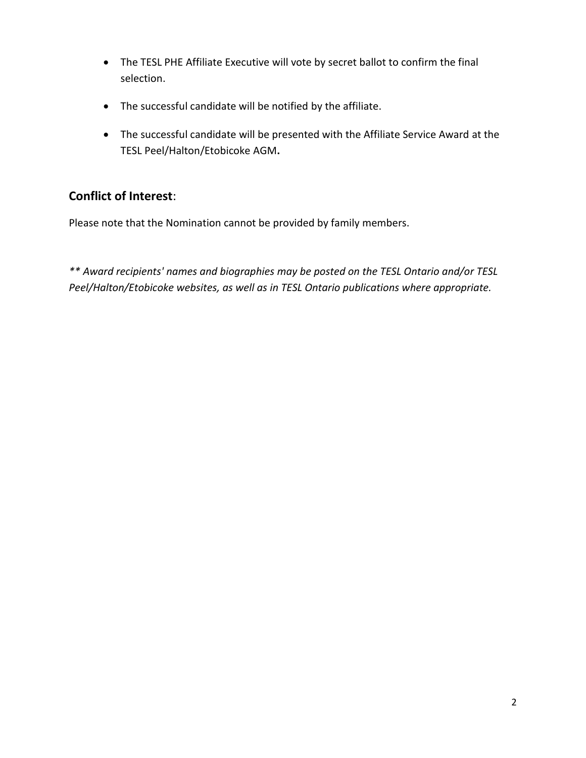- The TESL PHE Affiliate Executive will vote by secret ballot to confirm the final selection.
- The successful candidate will be notified by the affiliate.
- The successful candidate will be presented with the Affiliate Service Award at the TESL Peel/Halton/Etobicoke AGM**.**

# **Conflict of Interest**:

Please note that the Nomination cannot be provided by family members.

*\*\* Award recipients' names and biographies may be posted on the TESL Ontario and/or TESL Peel/Halton/Etobicoke websites, as well as in TESL Ontario publications where appropriate.*